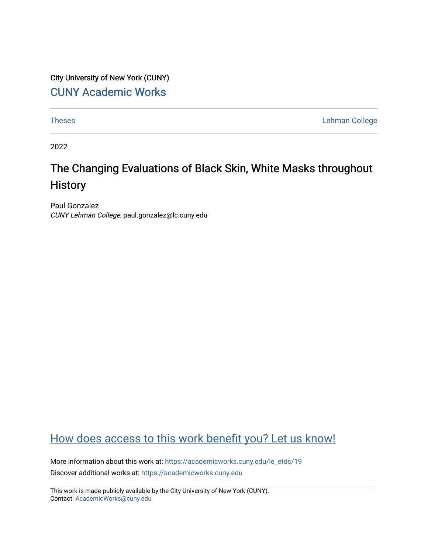City University of New York (CUNY) [CUNY Academic Works](https://academicworks.cuny.edu/) 

[Theses](https://academicworks.cuny.edu/le_etds) **Lehman College** 

2022

## The Changing Evaluations of Black Skin, White Masks throughout **History**

Paul Gonzalez CUNY Lehman College, paul.gonzalez@lc.cuny.edu

## [How does access to this work benefit you? Let us know!](http://ols.cuny.edu/academicworks/?ref=https://academicworks.cuny.edu/le_etds/19)

More information about this work at: [https://academicworks.cuny.edu/le\\_etds/19](https://academicworks.cuny.edu/le_etds/19) Discover additional works at: [https://academicworks.cuny.edu](https://academicworks.cuny.edu/?)

This work is made publicly available by the City University of New York (CUNY). Contact: [AcademicWorks@cuny.edu](mailto:AcademicWorks@cuny.edu)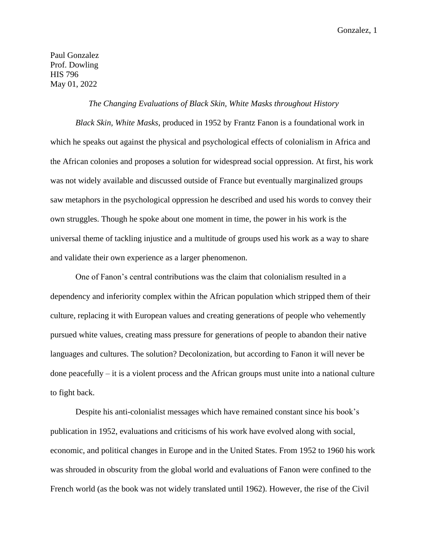Paul Gonzalez Prof. Dowling HIS 796 May 01, 2022

## *The Changing Evaluations of Black Skin, White Masks throughout History*

*Black Skin, White Masks*, produced in 1952 by Frantz Fanon is a foundational work in which he speaks out against the physical and psychological effects of colonialism in Africa and the African colonies and proposes a solution for widespread social oppression. At first, his work was not widely available and discussed outside of France but eventually marginalized groups saw metaphors in the psychological oppression he described and used his words to convey their own struggles. Though he spoke about one moment in time, the power in his work is the universal theme of tackling injustice and a multitude of groups used his work as a way to share and validate their own experience as a larger phenomenon.

One of Fanon's central contributions was the claim that colonialism resulted in a dependency and inferiority complex within the African population which stripped them of their culture, replacing it with European values and creating generations of people who vehemently pursued white values, creating mass pressure for generations of people to abandon their native languages and cultures. The solution? Decolonization, but according to Fanon it will never be done peacefully – it is a violent process and the African groups must unite into a national culture to fight back.

Despite his anti-colonialist messages which have remained constant since his book's publication in 1952, evaluations and criticisms of his work have evolved along with social, economic, and political changes in Europe and in the United States. From 1952 to 1960 his work was shrouded in obscurity from the global world and evaluations of Fanon were confined to the French world (as the book was not widely translated until 1962). However, the rise of the Civil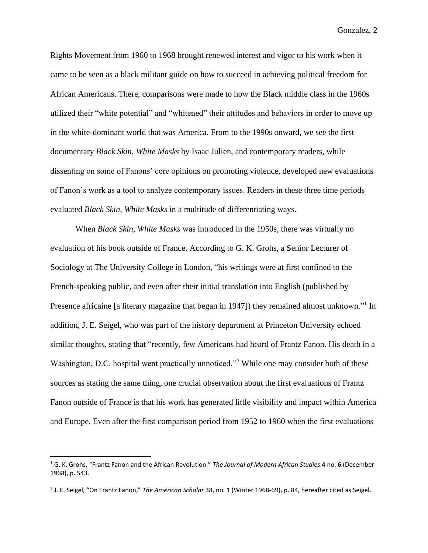Rights Movement from 1960 to 1968 brought renewed interest and vigor to his work when it came to be seen as a black militant guide on how to succeed in achieving political freedom for African Americans. There, comparisons were made to how the Black middle class in the 1960s utilized their "white potential" and "whitened" their attitudes and behaviors in order to move up in the white-dominant world that was America. From to the 1990s onward, we see the first documentary *Black Skin, White Masks* by Isaac Julien, and contemporary readers, while dissenting on some of Fanons' core opinions on promoting violence, developed new evaluations of Fanon's work as a tool to analyze contemporary issues. Readers in these three time periods evaluated *Black Skin, White Masks* in a multitude of differentiating ways.

When *Black Skin, White Masks* was introduced in the 1950s, there was virtually no evaluation of his book outside of France. According to G. K. Grohs, a Senior Lecturer of Sociology at The University College in London, "his writings were at first confined to the French-speaking public, and even after their initial translation into English (published by Presence africaine [a literary magazine that began in 1947]) they remained almost unknown."<sup>1</sup> In addition, J. E. Seigel, who was part of the history department at Princeton University echoed similar thoughts, stating that "recently, few Americans had heard of Frantz Fanon. His death in a Washington, D.C. hospital went practically unnoticed."<sup>2</sup> While one may consider both of these sources as stating the same thing, one crucial observation about the first evaluations of Frantz Fanon outside of France is that his work has generated little visibility and impact within America and Europe. Even after the first comparison period from 1952 to 1960 when the first evaluations

<sup>1</sup> G. K. Grohs, "Frantz Fanon and the African Revolution." *The Journal of Modern African Studies* 4 no. 6 (December 1968), p. 543.

<sup>2</sup> J. E. Seigel, "On Frantz Fanon," *The American Scholar* 38, no. 1 (Winter 1968-69), p. 84, hereafter cited as Seigel.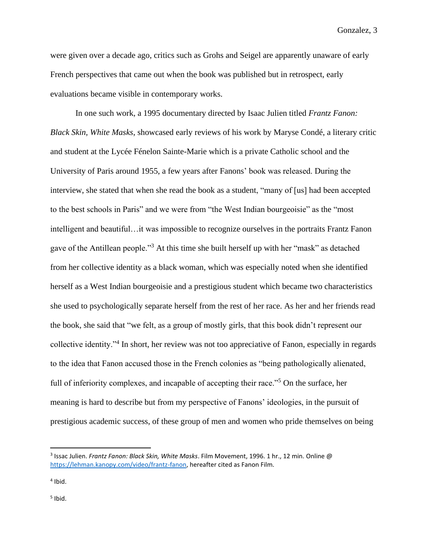were given over a decade ago, critics such as Grohs and Seigel are apparently unaware of early French perspectives that came out when the book was published but in retrospect, early evaluations became visible in contemporary works.

In one such work, a 1995 documentary directed by Isaac Julien titled *Frantz Fanon: Black Skin, White Masks*, showcased early reviews of his work by Maryse Condé, a literary critic and student at the Lycée Fénelon Sainte-Marie which is a private Catholic school and the University of Paris around 1955, a few years after Fanons' book was released. During the interview, she stated that when she read the book as a student, "many of [us] had been accepted to the best schools in Paris" and we were from "the West Indian bourgeoisie" as the "most intelligent and beautiful…it was impossible to recognize ourselves in the portraits Frantz Fanon gave of the Antillean people."<sup>3</sup> At this time she built herself up with her "mask" as detached from her collective identity as a black woman, which was especially noted when she identified herself as a West Indian bourgeoisie and a prestigious student which became two characteristics she used to psychologically separate herself from the rest of her race. As her and her friends read the book, she said that "we felt, as a group of mostly girls, that this book didn't represent our collective identity."<sup>4</sup> In short, her review was not too appreciative of Fanon, especially in regards to the idea that Fanon accused those in the French colonies as "being pathologically alienated, full of inferiority complexes, and incapable of accepting their race."<sup>5</sup> On the surface, her meaning is hard to describe but from my perspective of Fanons' ideologies, in the pursuit of prestigious academic success, of these group of men and women who pride themselves on being

<sup>3</sup> Issac Julien. *Frantz Fanon: Black Skin, White Masks*. Film Movement, 1996. 1 hr., 12 min. Online @ [https://lehman.kanopy.com/video/frantz-fanon,](https://lehman.kanopy.com/video/frantz-fanon) hereafter cited as Fanon Film.

<sup>4</sup> Ibid.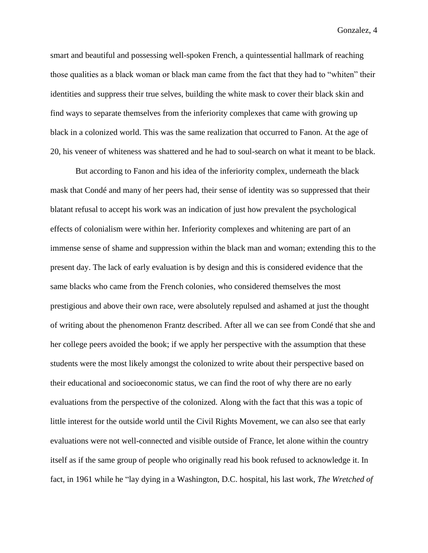smart and beautiful and possessing well-spoken French, a quintessential hallmark of reaching those qualities as a black woman or black man came from the fact that they had to "whiten" their identities and suppress their true selves, building the white mask to cover their black skin and find ways to separate themselves from the inferiority complexes that came with growing up black in a colonized world. This was the same realization that occurred to Fanon. At the age of 20, his veneer of whiteness was shattered and he had to soul-search on what it meant to be black.

But according to Fanon and his idea of the inferiority complex, underneath the black mask that Condé and many of her peers had, their sense of identity was so suppressed that their blatant refusal to accept his work was an indication of just how prevalent the psychological effects of colonialism were within her. Inferiority complexes and whitening are part of an immense sense of shame and suppression within the black man and woman; extending this to the present day. The lack of early evaluation is by design and this is considered evidence that the same blacks who came from the French colonies, who considered themselves the most prestigious and above their own race, were absolutely repulsed and ashamed at just the thought of writing about the phenomenon Frantz described. After all we can see from Condé that she and her college peers avoided the book; if we apply her perspective with the assumption that these students were the most likely amongst the colonized to write about their perspective based on their educational and socioeconomic status, we can find the root of why there are no early evaluations from the perspective of the colonized. Along with the fact that this was a topic of little interest for the outside world until the Civil Rights Movement, we can also see that early evaluations were not well-connected and visible outside of France, let alone within the country itself as if the same group of people who originally read his book refused to acknowledge it. In fact, in 1961 while he "lay dying in a Washington, D.C. hospital, his last work, *The Wretched of*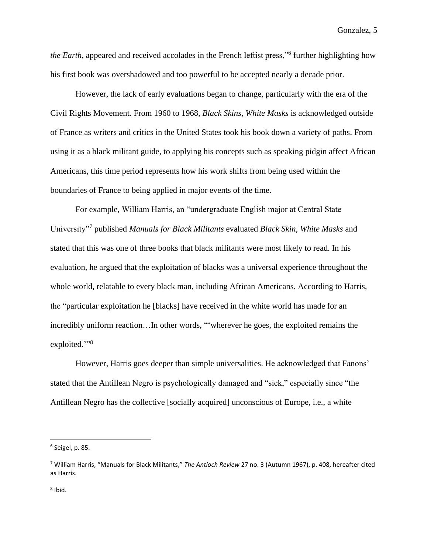*the Earth*, appeared and received accolades in the French leftist press,"<sup>6</sup> further highlighting how his first book was overshadowed and too powerful to be accepted nearly a decade prior.

However, the lack of early evaluations began to change, particularly with the era of the Civil Rights Movement. From 1960 to 1968, *Black Skins, White Masks* is acknowledged outside of France as writers and critics in the United States took his book down a variety of paths. From using it as a black militant guide, to applying his concepts such as speaking pidgin affect African Americans, this time period represents how his work shifts from being used within the boundaries of France to being applied in major events of the time.

For example, William Harris, an "undergraduate English major at Central State University"<sup>7</sup> published *Manuals for Black Militants* evaluated *Black Skin, White Masks* and stated that this was one of three books that black militants were most likely to read. In his evaluation, he argued that the exploitation of blacks was a universal experience throughout the whole world, relatable to every black man, including African Americans. According to Harris, the "particular exploitation he [blacks] have received in the white world has made for an incredibly uniform reaction…In other words, "'wherever he goes, the exploited remains the exploited."<sup>8</sup>

However, Harris goes deeper than simple universalities. He acknowledged that Fanons' stated that the Antillean Negro is psychologically damaged and "sick," especially since "the Antillean Negro has the collective [socially acquired] unconscious of Europe, i.e., a white

<sup>6</sup> Seigel, p. 85.

<sup>7</sup> William Harris, "Manuals for Black Militants," *The Antioch Review* 27 no. 3 (Autumn 1967), p. 408, hereafter cited as Harris.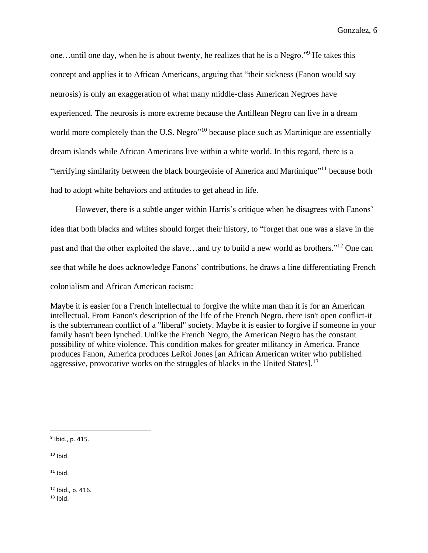one…until one day, when he is about twenty, he realizes that he is a Negro."<sup>9</sup> He takes this concept and applies it to African Americans, arguing that "their sickness (Fanon would say neurosis) is only an exaggeration of what many middle-class American Negroes have experienced. The neurosis is more extreme because the Antillean Negro can live in a dream world more completely than the U.S. Negro<sup>"10</sup> because place such as Martinique are essentially dream islands while African Americans live within a white world. In this regard, there is a "terrifying similarity between the black bourgeoisie of America and Martinique"<sup>11</sup> because both had to adopt white behaviors and attitudes to get ahead in life.

However, there is a subtle anger within Harris's critique when he disagrees with Fanons' idea that both blacks and whites should forget their history, to "forget that one was a slave in the past and that the other exploited the slave…and try to build a new world as brothers."<sup>12</sup> One can see that while he does acknowledge Fanons' contributions, he draws a line differentiating French colonialism and African American racism:

Maybe it is easier for a French intellectual to forgive the white man than it is for an American intellectual. From Fanon's description of the life of the French Negro, there isn't open conflict-it is the subterranean conflict of a "liberal" society. Maybe it is easier to forgive if someone in your family hasn't been lynched. Unlike the French Negro, the American Negro has the constant possibility of white violence. This condition makes for greater militancy in America. France produces Fanon, America produces LeRoi Jones [an African American writer who published aggressive, provocative works on the struggles of blacks in the United States].<sup>13</sup>

 $10$  Ibid.

 $11$  Ibid.

 $12$  Ibid., p. 416.  $13$  Ibid.

<sup>&</sup>lt;sup>9</sup> Ibid., p. 415.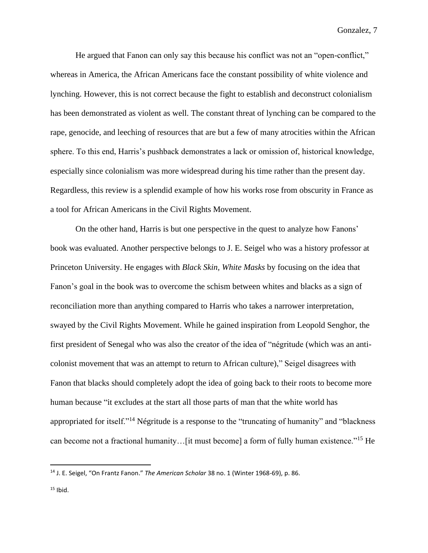He argued that Fanon can only say this because his conflict was not an "open-conflict," whereas in America, the African Americans face the constant possibility of white violence and lynching. However, this is not correct because the fight to establish and deconstruct colonialism has been demonstrated as violent as well. The constant threat of lynching can be compared to the rape, genocide, and leeching of resources that are but a few of many atrocities within the African sphere. To this end, Harris's pushback demonstrates a lack or omission of, historical knowledge, especially since colonialism was more widespread during his time rather than the present day. Regardless, this review is a splendid example of how his works rose from obscurity in France as a tool for African Americans in the Civil Rights Movement.

On the other hand, Harris is but one perspective in the quest to analyze how Fanons' book was evaluated. Another perspective belongs to J. E. Seigel who was a history professor at Princeton University. He engages with *Black Skin, White Masks* by focusing on the idea that Fanon's goal in the book was to overcome the schism between whites and blacks as a sign of reconciliation more than anything compared to Harris who takes a narrower interpretation, swayed by the Civil Rights Movement. While he gained inspiration from Leopold Senghor, the first president of Senegal who was also the creator of the idea of "négritude (which was an anticolonist movement that was an attempt to return to African culture)," Seigel disagrees with Fanon that blacks should completely adopt the idea of going back to their roots to become more human because "it excludes at the start all those parts of man that the white world has appropriated for itself."<sup>14</sup> Négritude is a response to the "truncating of humanity" and "blackness can become not a fractional humanity…[it must become] a form of fully human existence."<sup>15</sup> He

<sup>14</sup> J. E. Seigel, "On Frantz Fanon." *The American Scholar* 38 no. 1 (Winter 1968-69), p. 86.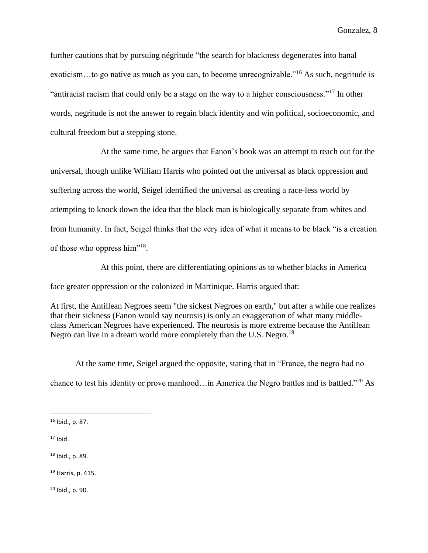further cautions that by pursuing négritude "the search for blackness degenerates into banal exoticism…to go native as much as you can, to become unrecognizable."<sup>16</sup> As such, negritude is "antiracist racism that could only be a stage on the way to a higher consciousness."<sup>17</sup> In other words, negritude is not the answer to regain black identity and win political, socioeconomic, and cultural freedom but a stepping stone.

At the same time, he argues that Fanon's book was an attempt to reach out for the universal, though unlike William Harris who pointed out the universal as black oppression and suffering across the world, Seigel identified the universal as creating a race-less world by attempting to knock down the idea that the black man is biologically separate from whites and from humanity. In fact, Seigel thinks that the very idea of what it means to be black "is a creation of those who oppress him"<sup>18</sup>.

At this point, there are differentiating opinions as to whether blacks in America face greater oppression or the colonized in Martinique. Harris argued that:

At first, the Antillean Negroes seem "the sickest Negroes on earth," but after a while one realizes that their sickness (Fanon would say neurosis) is only an exaggeration of what many middleclass American Negroes have experienced. The neurosis is more extreme because the Antillean Negro can live in a dream world more completely than the U.S. Negro.<sup>19</sup>

At the same time, Seigel argued the opposite, stating that in "France, the negro had no chance to test his identity or prove manhood... in America the Negro battles and is battled."<sup>20</sup> As

- $17$  Ibid.
- <sup>18</sup> Ibid., p. 89.
- <sup>19</sup> Harris, p. 415.

 $20$  Ibid., p. 90.

<sup>16</sup> Ibid., p. 87.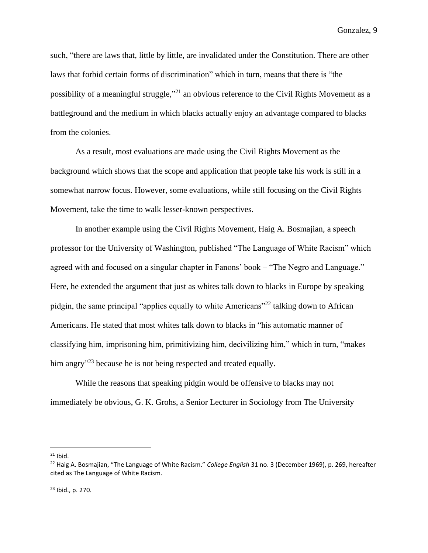such, "there are laws that, little by little, are invalidated under the Constitution. There are other laws that forbid certain forms of discrimination" which in turn, means that there is "the possibility of a meaningful struggle,"<sup>21</sup> an obvious reference to the Civil Rights Movement as a battleground and the medium in which blacks actually enjoy an advantage compared to blacks from the colonies.

As a result, most evaluations are made using the Civil Rights Movement as the background which shows that the scope and application that people take his work is still in a somewhat narrow focus. However, some evaluations, while still focusing on the Civil Rights Movement, take the time to walk lesser-known perspectives.

In another example using the Civil Rights Movement, Haig A. Bosmajian, a speech professor for the University of Washington, published "The Language of White Racism" which agreed with and focused on a singular chapter in Fanons' book – "The Negro and Language." Here, he extended the argument that just as whites talk down to blacks in Europe by speaking pidgin, the same principal "applies equally to white Americans"<sup>22</sup> talking down to African Americans. He stated that most whites talk down to blacks in "his automatic manner of classifying him, imprisoning him, primitivizing him, decivilizing him," which in turn, "makes him angry<sup>"23</sup> because he is not being respected and treated equally.

While the reasons that speaking pidgin would be offensive to blacks may not immediately be obvious, G. K. Grohs, a Senior Lecturer in Sociology from The University

 $21$  Ibid.

<sup>22</sup> Haig A. Bosmajian, "The Language of White Racism." *College English* 31 no. 3 (December 1969), p. 269, hereafter cited as The Language of White Racism.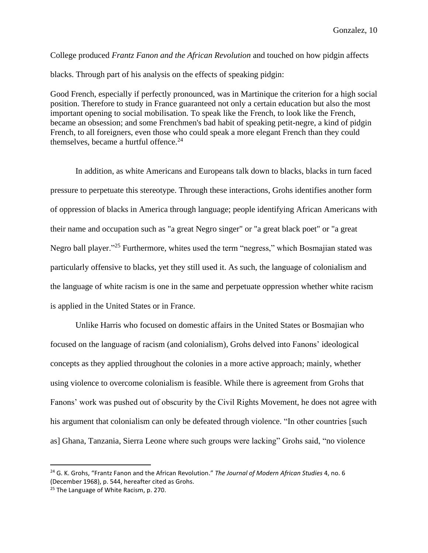College produced *Frantz Fanon and the African Revolution* and touched on how pidgin affects blacks. Through part of his analysis on the effects of speaking pidgin:

Good French, especially if perfectly pronounced, was in Martinique the criterion for a high social position. Therefore to study in France guaranteed not only a certain education but also the most important opening to social mobilisation. To speak like the French, to look like the French, became an obsession; and some Frenchmen's bad habit of speaking petit-negre, a kind of pidgin French, to all foreigners, even those who could speak a more elegant French than they could themselves, became a hurtful offence. $24$ 

In addition, as white Americans and Europeans talk down to blacks, blacks in turn faced pressure to perpetuate this stereotype. Through these interactions, Grohs identifies another form of oppression of blacks in America through language; people identifying African Americans with their name and occupation such as "a great Negro singer" or "a great black poet" or "a great Negro ball player."<sup>25</sup> Furthermore, whites used the term "negress," which Bosmajian stated was particularly offensive to blacks, yet they still used it. As such, the language of colonialism and the language of white racism is one in the same and perpetuate oppression whether white racism is applied in the United States or in France.

Unlike Harris who focused on domestic affairs in the United States or Bosmajian who focused on the language of racism (and colonialism), Grohs delved into Fanons' ideological concepts as they applied throughout the colonies in a more active approach; mainly, whether using violence to overcome colonialism is feasible. While there is agreement from Grohs that Fanons' work was pushed out of obscurity by the Civil Rights Movement, he does not agree with his argument that colonialism can only be defeated through violence. "In other countries [such as] Ghana, Tanzania, Sierra Leone where such groups were lacking" Grohs said, "no violence

<sup>24</sup> G. K. Grohs, "Frantz Fanon and the African Revolution." *The Journal of Modern African Studies* 4, no. 6 (December 1968), p. 544, hereafter cited as Grohs.

<sup>&</sup>lt;sup>25</sup> The Language of White Racism, p. 270.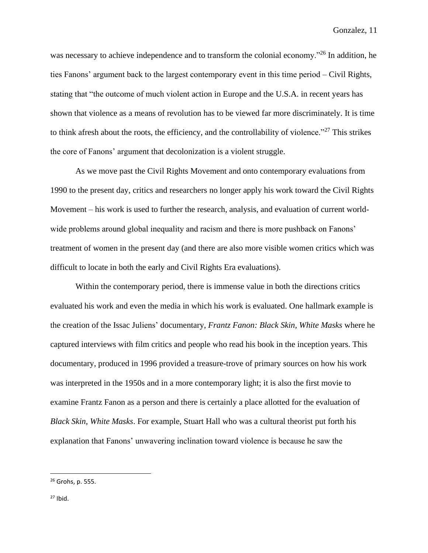was necessary to achieve independence and to transform the colonial economy.<sup>"26</sup> In addition, he ties Fanons' argument back to the largest contemporary event in this time period – Civil Rights, stating that "the outcome of much violent action in Europe and the U.S.A. in recent years has shown that violence as a means of revolution has to be viewed far more discriminately. It is time to think afresh about the roots, the efficiency, and the controllability of violence."<sup>27</sup> This strikes the core of Fanons' argument that decolonization is a violent struggle.

As we move past the Civil Rights Movement and onto contemporary evaluations from 1990 to the present day, critics and researchers no longer apply his work toward the Civil Rights Movement – his work is used to further the research, analysis, and evaluation of current worldwide problems around global inequality and racism and there is more pushback on Fanons' treatment of women in the present day (and there are also more visible women critics which was difficult to locate in both the early and Civil Rights Era evaluations).

Within the contemporary period, there is immense value in both the directions critics evaluated his work and even the media in which his work is evaluated. One hallmark example is the creation of the Issac Juliens' documentary, *Frantz Fanon: Black Skin, White Masks* where he captured interviews with film critics and people who read his book in the inception years. This documentary, produced in 1996 provided a treasure-trove of primary sources on how his work was interpreted in the 1950s and in a more contemporary light; it is also the first movie to examine Frantz Fanon as a person and there is certainly a place allotted for the evaluation of *Black Skin, White Masks*. For example, Stuart Hall who was a cultural theorist put forth his explanation that Fanons' unwavering inclination toward violence is because he saw the

<sup>26</sup> Grohs, p. 555.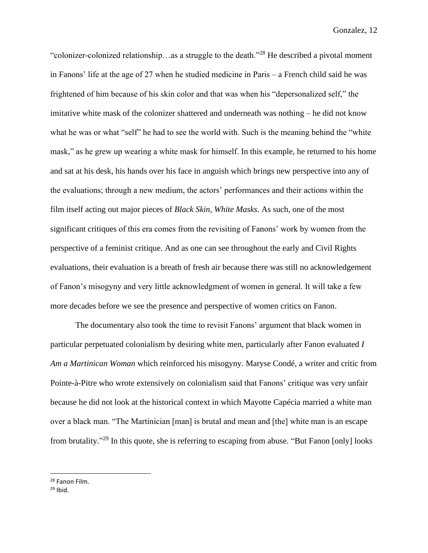"colonizer-colonized relationship…as a struggle to the death."<sup>28</sup> He described a pivotal moment in Fanons' life at the age of 27 when he studied medicine in Paris – a French child said he was frightened of him because of his skin color and that was when his "depersonalized self," the imitative white mask of the colonizer shattered and underneath was nothing – he did not know what he was or what "self" he had to see the world with. Such is the meaning behind the "white mask," as he grew up wearing a white mask for himself. In this example, he returned to his home and sat at his desk, his hands over his face in anguish which brings new perspective into any of the evaluations; through a new medium, the actors' performances and their actions within the film itself acting out major pieces of *Black Skin, White Masks*. As such, one of the most significant critiques of this era comes from the revisiting of Fanons' work by women from the perspective of a feminist critique. And as one can see throughout the early and Civil Rights evaluations, their evaluation is a breath of fresh air because there was still no acknowledgement of Fanon's misogyny and very little acknowledgment of women in general. It will take a few more decades before we see the presence and perspective of women critics on Fanon.

The documentary also took the time to revisit Fanons' argument that black women in particular perpetuated colonialism by desiring white men, particularly after Fanon evaluated *I Am a Martinican Woman* which reinforced his misogyny. Maryse Condé, a writer and critic from Pointe-à-Pitre who wrote extensively on colonialism said that Fanons' critique was very unfair because he did not look at the historical context in which Mayotte Capécia married a white man over a black man. "The Martinician [man] is brutal and mean and [the] white man is an escape from brutality."<sup>29</sup> In this quote, she is referring to escaping from abuse. "But Fanon [only] looks

<sup>28</sup> Fanon Film.

 $29$  Ibid.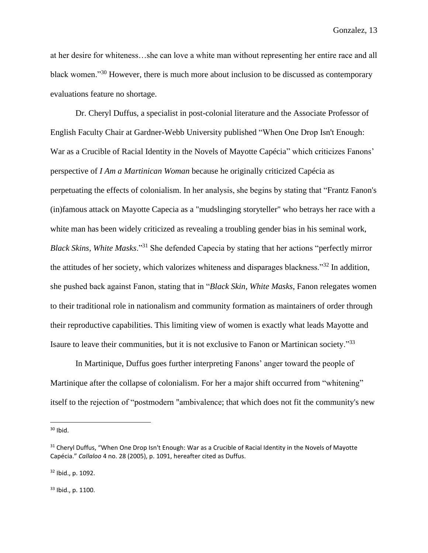at her desire for whiteness…she can love a white man without representing her entire race and all black women."<sup>30</sup> However, there is much more about inclusion to be discussed as contemporary evaluations feature no shortage.

Dr. Cheryl Duffus, a specialist in post-colonial literature and the Associate Professor of English Faculty Chair at Gardner-Webb University published "When One Drop Isn't Enough: War as a Crucible of Racial Identity in the Novels of Mayotte Capécia" which criticizes Fanons' perspective of *I Am a Martinican Woman* because he originally criticized Capécia as perpetuating the effects of colonialism. In her analysis, she begins by stating that "Frantz Fanon's (in)famous attack on Mayotte Capecia as a "mudslinging storyteller" who betrays her race with a white man has been widely criticized as revealing a troubling gender bias in his seminal work, *Black Skins, White Masks*."<sup>31</sup> She defended Capecia by stating that her actions "perfectly mirror the attitudes of her society, which valorizes whiteness and disparages blackness."<sup>32</sup> In addition, she pushed back against Fanon, stating that in "*Black Skin, White Masks*, Fanon relegates women to their traditional role in nationalism and community formation as maintainers of order through their reproductive capabilities. This limiting view of women is exactly what leads Mayotte and Isaure to leave their communities, but it is not exclusive to Fanon or Martinican society."<sup>33</sup>

In Martinique, Duffus goes further interpreting Fanons' anger toward the people of Martinique after the collapse of colonialism. For her a major shift occurred from "whitening" itself to the rejection of "postmodern "ambivalence; that which does not fit the community's new

<sup>32</sup> Ibid., p. 1092.

<sup>33</sup> Ibid., p. 1100.

 $30$  Ibid.

<sup>&</sup>lt;sup>31</sup> Cheryl Duffus, "When One Drop Isn't Enough: War as a Crucible of Racial Identity in the Novels of Mayotte Capécia." *Callaloo* 4 no. 28 (2005), p. 1091, hereafter cited as Duffus.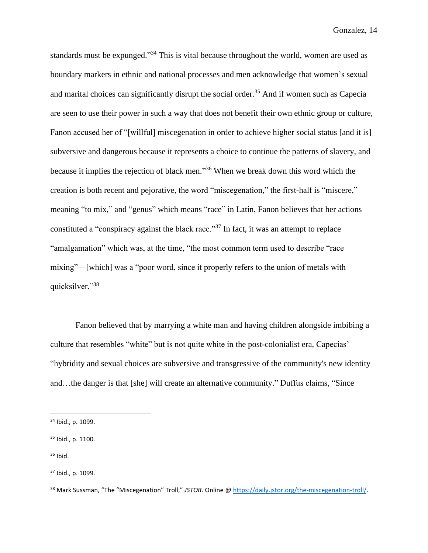standards must be expunged."<sup>34</sup> This is vital because throughout the world, women are used as boundary markers in ethnic and national processes and men acknowledge that women's sexual and marital choices can significantly disrupt the social order.<sup>35</sup> And if women such as Capecia are seen to use their power in such a way that does not benefit their own ethnic group or culture, Fanon accused her of "[willful] miscegenation in order to achieve higher social status [and it is] subversive and dangerous because it represents a choice to continue the patterns of slavery, and because it implies the rejection of black men." <sup>36</sup> When we break down this word which the creation is both recent and pejorative, the word "miscegenation," the first-half is "miscere," meaning "to mix," and "genus" which means "race" in Latin, Fanon believes that her actions constituted a "conspiracy against the black race."<sup>37</sup> In fact, it was an attempt to replace "amalgamation" which was, at the time, "the most common term used to describe "race mixing"—[which] was a "poor word, since it properly refers to the union of metals with quicksilver."<sup>38</sup>

Fanon believed that by marrying a white man and having children alongside imbibing a culture that resembles "white" but is not quite white in the post-colonialist era, Capecias' "hybridity and sexual choices are subversive and transgressive of the community's new identity and…the danger is that [she] will create an alternative community." Duffus claims, "Since

 $36$  Ibid.

<sup>34</sup> Ibid., p. 1099.

<sup>35</sup> Ibid., p. 1100.

<sup>37</sup> Ibid., p. 1099.

<sup>38</sup> Mark Sussman, "The "Miscegenation" Troll," *JSTOR*. Online [@ https://daily.jstor.org/the-miscegenation-troll/.](https://daily.jstor.org/the-miscegenation-troll/)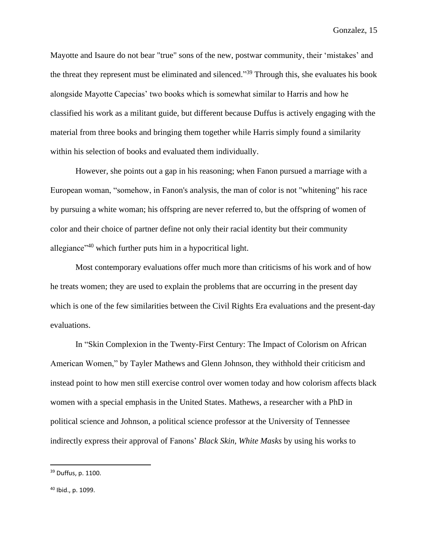Mayotte and Isaure do not bear "true" sons of the new, postwar community, their 'mistakes' and the threat they represent must be eliminated and silenced."<sup>39</sup> Through this, she evaluates his book alongside Mayotte Capecias' two books which is somewhat similar to Harris and how he classified his work as a militant guide, but different because Duffus is actively engaging with the material from three books and bringing them together while Harris simply found a similarity within his selection of books and evaluated them individually.

However, she points out a gap in his reasoning; when Fanon pursued a marriage with a European woman, "somehow, in Fanon's analysis, the man of color is not "whitening" his race by pursuing a white woman; his offspring are never referred to, but the offspring of women of color and their choice of partner define not only their racial identity but their community allegiance"<sup>40</sup> which further puts him in a hypocritical light.

Most contemporary evaluations offer much more than criticisms of his work and of how he treats women; they are used to explain the problems that are occurring in the present day which is one of the few similarities between the Civil Rights Era evaluations and the present-day evaluations.

In "Skin Complexion in the Twenty-First Century: The Impact of Colorism on African American Women," by Tayler Mathews and Glenn Johnson, they withhold their criticism and instead point to how men still exercise control over women today and how colorism affects black women with a special emphasis in the United States. Mathews, a researcher with a PhD in political science and Johnson, a political science professor at the University of Tennessee indirectly express their approval of Fanons' *Black Skin, White Masks* by using his works to

<sup>39</sup> Duffus, p. 1100.

<sup>40</sup> Ibid., p. 1099.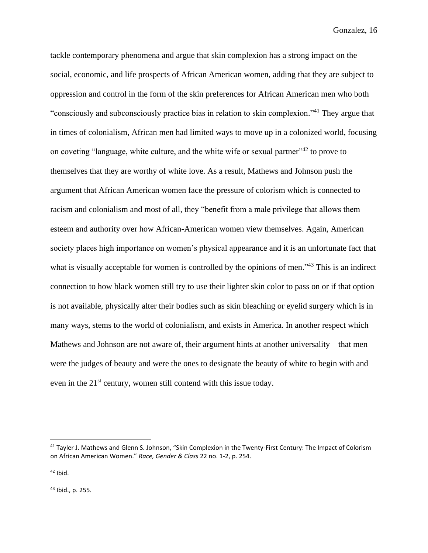tackle contemporary phenomena and argue that skin complexion has a strong impact on the social, economic, and life prospects of African American women, adding that they are subject to oppression and control in the form of the skin preferences for African American men who both "consciously and subconsciously practice bias in relation to skin complexion."<sup>41</sup> They argue that in times of colonialism, African men had limited ways to move up in a colonized world, focusing on coveting "language, white culture, and the white wife or sexual partner"<sup>42</sup> to prove to themselves that they are worthy of white love. As a result, Mathews and Johnson push the argument that African American women face the pressure of colorism which is connected to racism and colonialism and most of all, they "benefit from a male privilege that allows them esteem and authority over how African-American women view themselves. Again, American society places high importance on women's physical appearance and it is an unfortunate fact that what is visually acceptable for women is controlled by the opinions of men."<sup>43</sup> This is an indirect connection to how black women still try to use their lighter skin color to pass on or if that option is not available, physically alter their bodies such as skin bleaching or eyelid surgery which is in many ways, stems to the world of colonialism, and exists in America. In another respect which Mathews and Johnson are not aware of, their argument hints at another universality – that men were the judges of beauty and were the ones to designate the beauty of white to begin with and even in the  $21<sup>st</sup>$  century, women still contend with this issue today.

 $42$  Ibid.

<sup>43</sup> Ibid., p. 255.

<sup>&</sup>lt;sup>41</sup> Tayler J. Mathews and Glenn S. Johnson, "Skin Complexion in the Twenty-First Century: The Impact of Colorism on African American Women." *Race, Gender & Class* 22 no. 1-2, p. 254.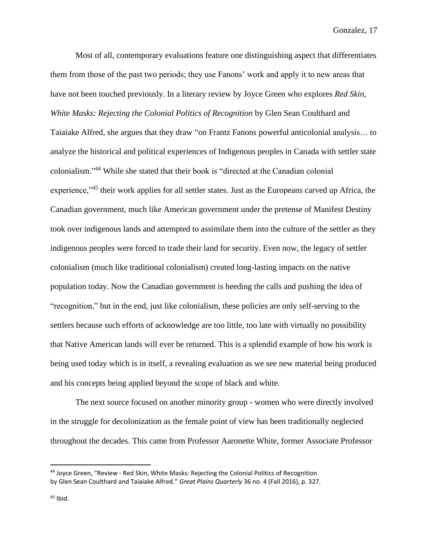Most of all, contemporary evaluations feature one distinguishing aspect that differentiates them from those of the past two periods; they use Fanons' work and apply it to new areas that have not been touched previously. In a literary review by Joyce Green who explores *Red Skin, White Masks: Rejecting the Colonial Politics of Recognition* by Glen Sean Coulthard and

Taiaiake Alfred, she argues that they draw "on Frantz Fanons powerful anticolonial analysis… to analyze the historical and political experiences of Indigenous peoples in Canada with settler state colonialism."<sup>44</sup> While she stated that their book is "directed at the Canadian colonial experience,"<sup>45</sup> their work applies for all settler states. Just as the Europeans carved up Africa, the Canadian government, much like American government under the pretense of Manifest Destiny took over indigenous lands and attempted to assimilate them into the culture of the settler as they indigenous peoples were forced to trade their land for security. Even now, the legacy of settler colonialism (much like traditional colonialism) created long-lasting impacts on the native population today. Now the Canadian government is heeding the calls and pushing the idea of "recognition," but in the end, just like colonialism, these policies are only self-serving to the settlers because such efforts of acknowledge are too little, too late with virtually no possibility that Native American lands will ever be returned. This is a splendid example of how his work is being used today which is in itself, a revealing evaluation as we see new material being produced and his concepts being applied beyond the scope of black and white.

The next source focused on another minority group - women who were directly involved in the struggle for decolonization as the female point of view has been traditionally neglected throughout the decades. This came from Professor Aaronette White, former Associate Professor

<sup>44</sup> Joyce Green, "Review - Red Skin, White Masks: Rejecting the Colonial Politics of Recognition by Glen Sean Coulthard and Taiaiake Alfred." *Great Plains Quarterly* 36 no. 4 (Fall 2016), p. 327.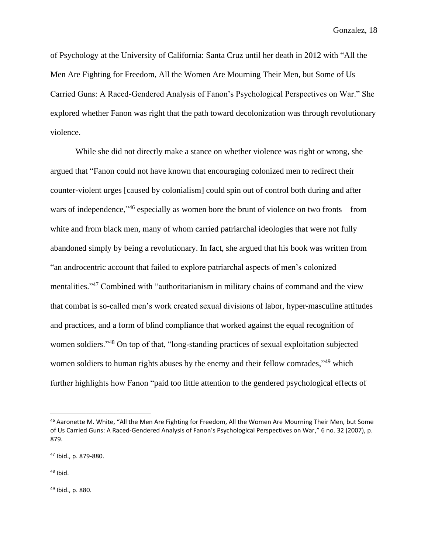of Psychology at the University of California: Santa Cruz until her death in 2012 with "All the Men Are Fighting for Freedom, All the Women Are Mourning Their Men, but Some of Us Carried Guns: A Raced‐Gendered Analysis of Fanon's Psychological Perspectives on War." She explored whether Fanon was right that the path toward decolonization was through revolutionary violence.

While she did not directly make a stance on whether violence was right or wrong, she argued that "Fanon could not have known that encouraging colonized men to redirect their counter-violent urges [caused by colonialism] could spin out of control both during and after wars of independence,<sup>146</sup> especially as women bore the brunt of violence on two fronts – from white and from black men, many of whom carried patriarchal ideologies that were not fully abandoned simply by being a revolutionary. In fact, she argued that his book was written from "an androcentric account that failed to explore patriarchal aspects of men's colonized mentalities."<sup>47</sup> Combined with "authoritarianism in military chains of command and the view that combat is so-called men's work created sexual divisions of labor, hyper-masculine attitudes and practices, and a form of blind compliance that worked against the equal recognition of women soldiers."<sup>48</sup> On top of that, "long-standing practices of sexual exploitation subjected women soldiers to human rights abuses by the enemy and their fellow comrades,<sup>349</sup> which further highlights how Fanon "paid too little attention to the gendered psychological effects of

 $48$  Ibid.

<sup>49</sup> Ibid., p. 880.

<sup>46</sup> Aaronette M. White, "All the Men Are Fighting for Freedom, All the Women Are Mourning Their Men, but Some of Us Carried Guns: A Raced‐Gendered Analysis of Fanon's Psychological Perspectives on War," 6 no. 32 (2007), p. 879.

<sup>47</sup> Ibid., p. 879-880.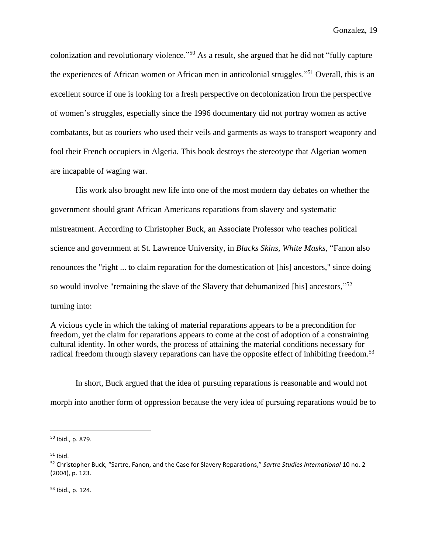colonization and revolutionary violence."<sup>50</sup> As a result, she argued that he did not "fully capture the experiences of African women or African men in anticolonial struggles."<sup>51</sup> Overall, this is an excellent source if one is looking for a fresh perspective on decolonization from the perspective of women's struggles, especially since the 1996 documentary did not portray women as active combatants, but as couriers who used their veils and garments as ways to transport weaponry and fool their French occupiers in Algeria. This book destroys the stereotype that Algerian women are incapable of waging war.

His work also brought new life into one of the most modern day debates on whether the government should grant African Americans reparations from slavery and systematic mistreatment. According to Christopher Buck, an Associate Professor who teaches political science and government at St. Lawrence University, in *Blacks Skins, White Masks*, "Fanon also renounces the "right ... to claim reparation for the domestication of [his] ancestors," since doing so would involve "remaining the slave of the Slavery that dehumanized [his] ancestors,"<sup>52</sup> turning into:

A vicious cycle in which the taking of material reparations appears to be a precondition for freedom, yet the claim for reparations appears to come at the cost of adoption of a constraining cultural identity. In other words, the process of attaining the material conditions necessary for radical freedom through slavery reparations can have the opposite effect of inhibiting freedom.<sup>53</sup>

In short, Buck argued that the idea of pursuing reparations is reasonable and would not morph into another form of oppression because the very idea of pursuing reparations would be to

 $51$  Ibid.

<sup>53</sup> Ibid., p. 124.

<sup>50</sup> Ibid., p. 879.

<sup>52</sup> Christopher Buck, "Sartre, Fanon, and the Case for Slavery Reparations," *Sartre Studies International* 10 no. 2 (2004), p. 123.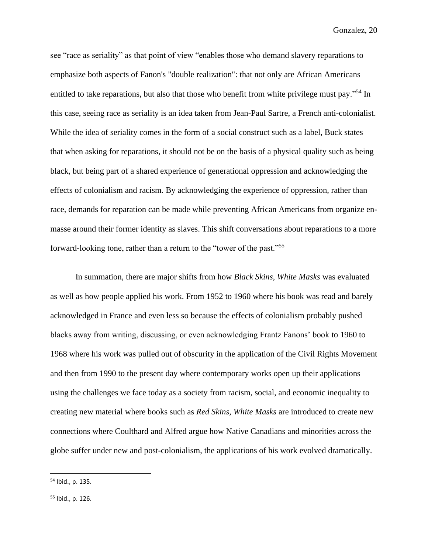see "race as seriality" as that point of view "enables those who demand slavery reparations to emphasize both aspects of Fanon's "double realization": that not only are African Americans entitled to take reparations, but also that those who benefit from white privilege must pay."<sup>54</sup> In this case, seeing race as seriality is an idea taken from Jean-Paul Sartre, a French anti-colonialist. While the idea of seriality comes in the form of a social construct such as a label, Buck states that when asking for reparations, it should not be on the basis of a physical quality such as being black, but being part of a shared experience of generational oppression and acknowledging the effects of colonialism and racism. By acknowledging the experience of oppression, rather than race, demands for reparation can be made while preventing African Americans from organize enmasse around their former identity as slaves. This shift conversations about reparations to a more forward-looking tone, rather than a return to the "tower of the past."<sup>55</sup>

In summation, there are major shifts from how *Black Skins, White Masks* was evaluated as well as how people applied his work. From 1952 to 1960 where his book was read and barely acknowledged in France and even less so because the effects of colonialism probably pushed blacks away from writing, discussing, or even acknowledging Frantz Fanons' book to 1960 to 1968 where his work was pulled out of obscurity in the application of the Civil Rights Movement and then from 1990 to the present day where contemporary works open up their applications using the challenges we face today as a society from racism, social, and economic inequality to creating new material where books such as *Red Skins, White Masks* are introduced to create new connections where Coulthard and Alfred argue how Native Canadians and minorities across the globe suffer under new and post-colonialism, the applications of his work evolved dramatically.

<sup>54</sup> Ibid., p. 135.

<sup>55</sup> Ibid., p. 126.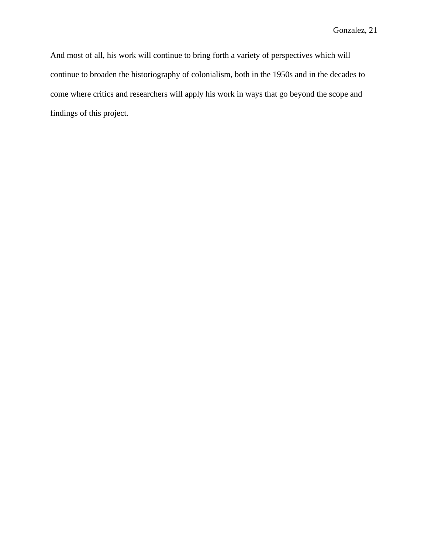And most of all, his work will continue to bring forth a variety of perspectives which will continue to broaden the historiography of colonialism, both in the 1950s and in the decades to come where critics and researchers will apply his work in ways that go beyond the scope and findings of this project.